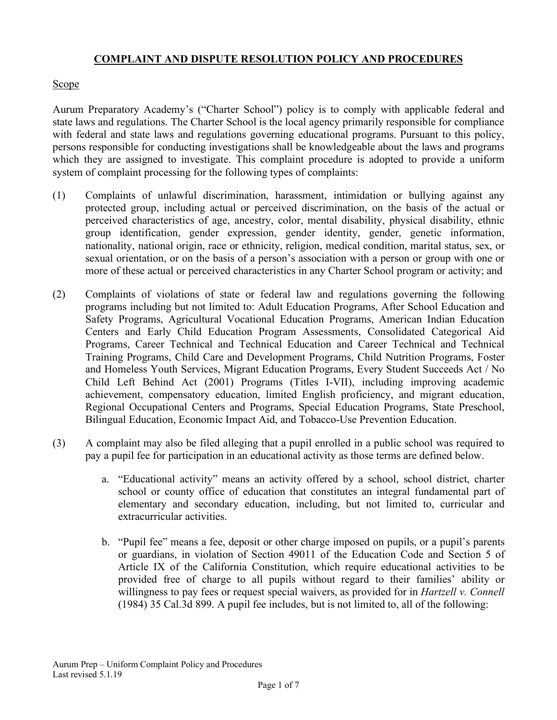### **COMPLAINT AND DISPUTE RESOLUTION POLICY AND PROCEDURES**

### **Scope**

Aurum Preparatory Academy's ("Charter School") policy is to comply with applicable federal and state laws and regulations. The Charter School is the local agency primarily responsible for compliance with federal and state laws and regulations governing educational programs. Pursuant to this policy, persons responsible for conducting investigations shall be knowledgeable about the laws and programs which they are assigned to investigate. This complaint procedure is adopted to provide a uniform system of complaint processing for the following types of complaints:

- (1) Complaints of unlawful discrimination, harassment, intimidation or bullying against any protected group, including actual or perceived discrimination, on the basis of the actual or perceived characteristics of age, ancestry, color, mental disability, physical disability, ethnic group identification, gender expression, gender identity, gender, genetic information, nationality, national origin, race or ethnicity, religion, medical condition, marital status, sex, or sexual orientation, or on the basis of a person's association with a person or group with one or more of these actual or perceived characteristics in any Charter School program or activity; and
- (2) Complaints of violations of state or federal law and regulations governing the following programs including but not limited to: Adult Education Programs, After School Education and Safety Programs, Agricultural Vocational Education Programs, American Indian Education Centers and Early Child Education Program Assessments, Consolidated Categorical Aid Programs, Career Technical and Technical Education and Career Technical and Technical Training Programs, Child Care and Development Programs, Child Nutrition Programs, Foster and Homeless Youth Services, Migrant Education Programs, Every Student Succeeds Act / No Child Left Behind Act (2001) Programs (Titles I-VII), including improving academic achievement, compensatory education, limited English proficiency, and migrant education, Regional Occupational Centers and Programs, Special Education Programs, State Preschool, Bilingual Education, Economic Impact Aid, and Tobacco-Use Prevention Education.
- (3) A complaint may also be filed alleging that a pupil enrolled in a public school was required to pay a pupil fee for participation in an educational activity as those terms are defined below.
	- a. "Educational activity" means an activity offered by a school, school district, charter school or county office of education that constitutes an integral fundamental part of elementary and secondary education, including, but not limited to, curricular and extracurricular activities.
	- b. "Pupil fee" means a fee, deposit or other charge imposed on pupils, or a pupil's parents or guardians, in violation of Section 49011 of the Education Code and Section 5 of Article IX of the California Constitution, which require educational activities to be provided free of charge to all pupils without regard to their families' ability or willingness to pay fees or request special waivers, as provided for in *Hartzell v. Connell*  (1984) 35 Cal.3d 899. A pupil fee includes, but is not limited to, all of the following: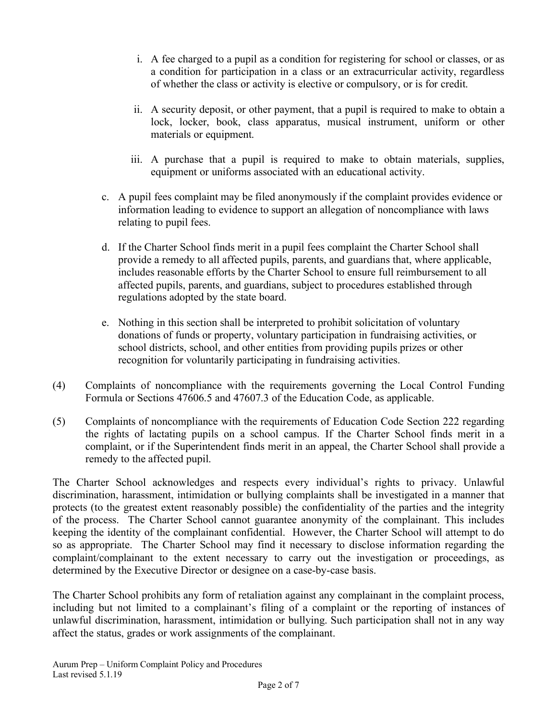- i. A fee charged to a pupil as a condition for registering for school or classes, or as a condition for participation in a class or an extracurricular activity, regardless of whether the class or activity is elective or compulsory, or is for credit.
- ii. A security deposit, or other payment, that a pupil is required to make to obtain a lock, locker, book, class apparatus, musical instrument, uniform or other materials or equipment.
- iii. A purchase that a pupil is required to make to obtain materials, supplies, equipment or uniforms associated with an educational activity.
- c. A pupil fees complaint may be filed anonymously if the complaint provides evidence or information leading to evidence to support an allegation of noncompliance with laws relating to pupil fees.
- d. If the Charter School finds merit in a pupil fees complaint the Charter School shall provide a remedy to all affected pupils, parents, and guardians that, where applicable, includes reasonable efforts by the Charter School to ensure full reimbursement to all affected pupils, parents, and guardians, subject to procedures established through regulations adopted by the state board.
- e. Nothing in this section shall be interpreted to prohibit solicitation of voluntary donations of funds or property, voluntary participation in fundraising activities, or school districts, school, and other entities from providing pupils prizes or other recognition for voluntarily participating in fundraising activities.
- (4) Complaints of noncompliance with the requirements governing the Local Control Funding Formula or Sections 47606.5 and 47607.3 of the Education Code, as applicable.
- (5) Complaints of noncompliance with the requirements of Education Code Section 222 regarding the rights of lactating pupils on a school campus. If the Charter School finds merit in a complaint, or if the Superintendent finds merit in an appeal, the Charter School shall provide a remedy to the affected pupil.

The Charter School acknowledges and respects every individual's rights to privacy. Unlawful discrimination, harassment, intimidation or bullying complaints shall be investigated in a manner that protects (to the greatest extent reasonably possible) the confidentiality of the parties and the integrity of the process. The Charter School cannot guarantee anonymity of the complainant. This includes keeping the identity of the complainant confidential. However, the Charter School will attempt to do so as appropriate. The Charter School may find it necessary to disclose information regarding the complaint/complainant to the extent necessary to carry out the investigation or proceedings, as determined by the Executive Director or designee on a case-by-case basis.

The Charter School prohibits any form of retaliation against any complainant in the complaint process, including but not limited to a complainant's filing of a complaint or the reporting of instances of unlawful discrimination, harassment, intimidation or bullying. Such participation shall not in any way affect the status, grades or work assignments of the complainant.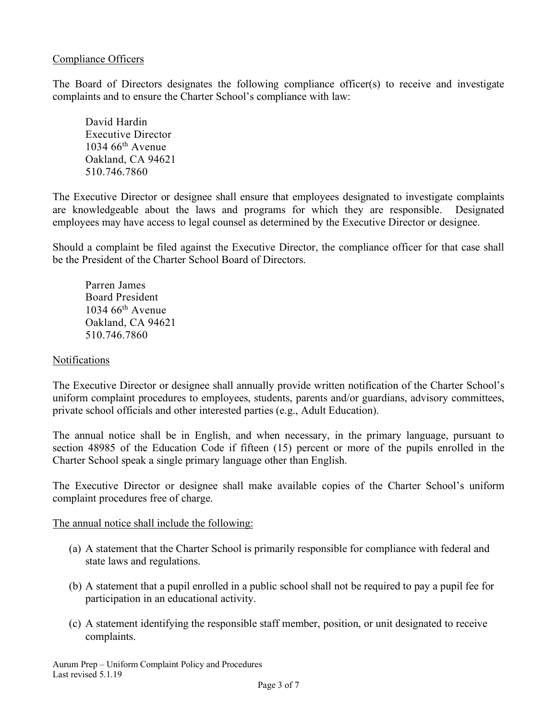#### Compliance Officers

The Board of Directors designates the following compliance officer(s) to receive and investigate complaints and to ensure the Charter School's compliance with law:

David Hardin Executive Director  $1034.66$ <sup>th</sup> Avenue Oakland, CA 94621 510.746.7860

The Executive Director or designee shall ensure that employees designated to investigate complaints are knowledgeable about the laws and programs for which they are responsible. Designated employees may have access to legal counsel as determined by the Executive Director or designee.

Should a complaint be filed against the Executive Director, the compliance officer for that case shall be the President of the Charter School Board of Directors.

Parren James Board President  $1034~66$ <sup>th</sup> Avenue Oakland, CA 94621 510.746.7860

#### Notifications

The Executive Director or designee shall annually provide written notification of the Charter School's uniform complaint procedures to employees, students, parents and/or guardians, advisory committees, private school officials and other interested parties (e.g., Adult Education).

The annual notice shall be in English, and when necessary, in the primary language, pursuant to section 48985 of the Education Code if fifteen (15) percent or more of the pupils enrolled in the Charter School speak a single primary language other than English.

The Executive Director or designee shall make available copies of the Charter School's uniform complaint procedures free of charge.

The annual notice shall include the following:

- (a) A statement that the Charter School is primarily responsible for compliance with federal and state laws and regulations.
- (b) A statement that a pupil enrolled in a public school shall not be required to pay a pupil fee for participation in an educational activity.
- (c) A statement identifying the responsible staff member, position, or unit designated to receive complaints.

Aurum Prep – Uniform Complaint Policy and Procedures Last revised 5.1.19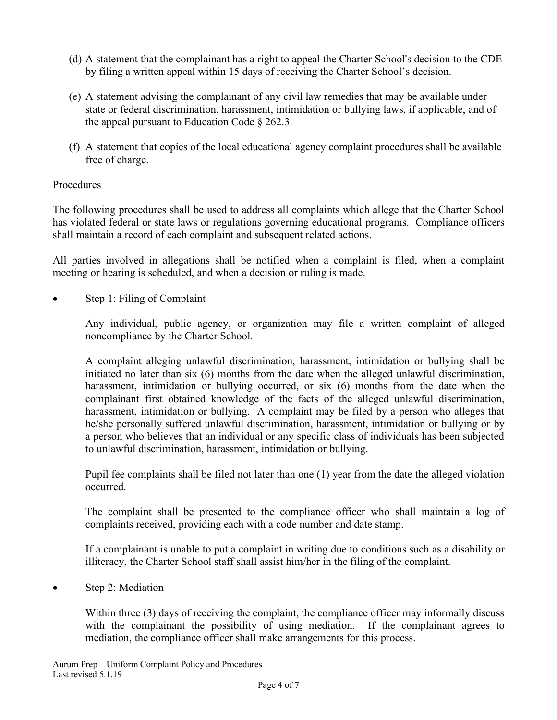- (d) A statement that the complainant has a right to appeal the Charter School's decision to the CDE by filing a written appeal within 15 days of receiving the Charter School's decision.
- (e) A statement advising the complainant of any civil law remedies that may be available under state or federal discrimination, harassment, intimidation or bullying laws, if applicable, and of the appeal pursuant to Education Code § 262.3.
- (f) A statement that copies of the local educational agency complaint procedures shall be available free of charge.

# Procedures

The following procedures shall be used to address all complaints which allege that the Charter School has violated federal or state laws or regulations governing educational programs. Compliance officers shall maintain a record of each complaint and subsequent related actions.

All parties involved in allegations shall be notified when a complaint is filed, when a complaint meeting or hearing is scheduled, and when a decision or ruling is made.

Step 1: Filing of Complaint

Any individual, public agency, or organization may file a written complaint of alleged noncompliance by the Charter School.

A complaint alleging unlawful discrimination, harassment, intimidation or bullying shall be initiated no later than six (6) months from the date when the alleged unlawful discrimination, harassment, intimidation or bullying occurred, or six (6) months from the date when the complainant first obtained knowledge of the facts of the alleged unlawful discrimination, harassment, intimidation or bullying. A complaint may be filed by a person who alleges that he/she personally suffered unlawful discrimination, harassment, intimidation or bullying or by a person who believes that an individual or any specific class of individuals has been subjected to unlawful discrimination, harassment, intimidation or bullying.

Pupil fee complaints shall be filed not later than one (1) year from the date the alleged violation occurred.

The complaint shall be presented to the compliance officer who shall maintain a log of complaints received, providing each with a code number and date stamp.

If a complainant is unable to put a complaint in writing due to conditions such as a disability or illiteracy, the Charter School staff shall assist him/her in the filing of the complaint.

• Step 2: Mediation

Within three (3) days of receiving the complaint, the compliance officer may informally discuss with the complainant the possibility of using mediation. If the complainant agrees to mediation, the compliance officer shall make arrangements for this process.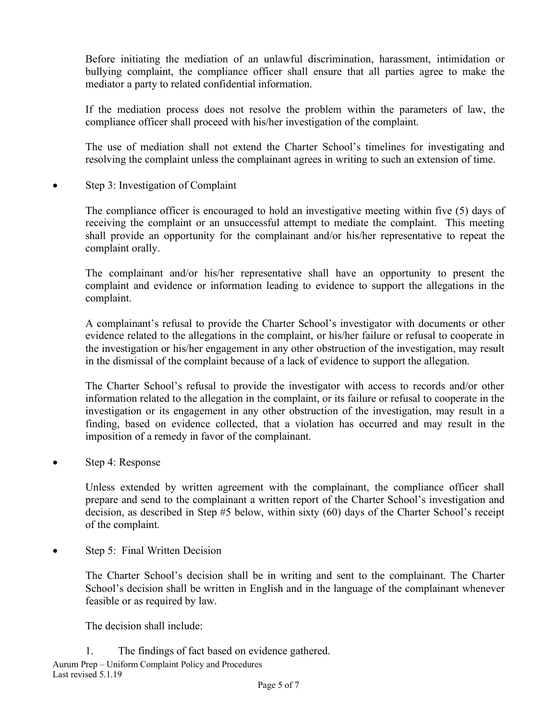Before initiating the mediation of an unlawful discrimination, harassment, intimidation or bullying complaint, the compliance officer shall ensure that all parties agree to make the mediator a party to related confidential information.

If the mediation process does not resolve the problem within the parameters of law, the compliance officer shall proceed with his/her investigation of the complaint.

The use of mediation shall not extend the Charter School's timelines for investigating and resolving the complaint unless the complainant agrees in writing to such an extension of time.

Step 3: Investigation of Complaint

The compliance officer is encouraged to hold an investigative meeting within five (5) days of receiving the complaint or an unsuccessful attempt to mediate the complaint. This meeting shall provide an opportunity for the complainant and/or his/her representative to repeat the complaint orally.

The complainant and/or his/her representative shall have an opportunity to present the complaint and evidence or information leading to evidence to support the allegations in the complaint.

A complainant's refusal to provide the Charter School's investigator with documents or other evidence related to the allegations in the complaint, or his/her failure or refusal to cooperate in the investigation or his/her engagement in any other obstruction of the investigation, may result in the dismissal of the complaint because of a lack of evidence to support the allegation.

The Charter School's refusal to provide the investigator with access to records and/or other information related to the allegation in the complaint, or its failure or refusal to cooperate in the investigation or its engagement in any other obstruction of the investigation, may result in a finding, based on evidence collected, that a violation has occurred and may result in the imposition of a remedy in favor of the complainant.

Step 4: Response

Unless extended by written agreement with the complainant, the compliance officer shall prepare and send to the complainant a written report of the Charter School's investigation and decision, as described in Step #5 below, within sixty (60) days of the Charter School's receipt of the complaint.

• Step 5: Final Written Decision

The Charter School's decision shall be in writing and sent to the complainant. The Charter School's decision shall be written in English and in the language of the complainant whenever feasible or as required by law.

The decision shall include:

Aurum Prep – Uniform Complaint Policy and Procedures Last revised 5.1.19 1. The findings of fact based on evidence gathered.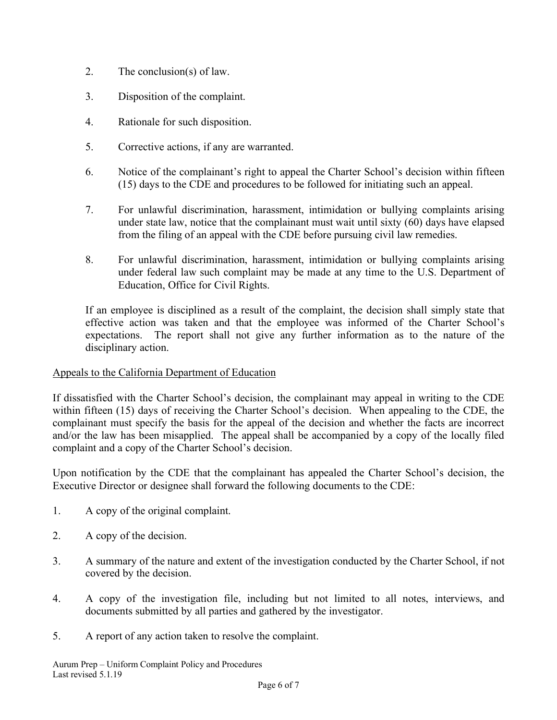- 2. The conclusion(s) of law.
- 3. Disposition of the complaint.
- 4. Rationale for such disposition.
- 5. Corrective actions, if any are warranted.
- 6. Notice of the complainant's right to appeal the Charter School's decision within fifteen (15) days to the CDE and procedures to be followed for initiating such an appeal.
- 7. For unlawful discrimination, harassment, intimidation or bullying complaints arising under state law, notice that the complainant must wait until sixty (60) days have elapsed from the filing of an appeal with the CDE before pursuing civil law remedies.
- 8. For unlawful discrimination, harassment, intimidation or bullying complaints arising under federal law such complaint may be made at any time to the U.S. Department of Education, Office for Civil Rights.

If an employee is disciplined as a result of the complaint, the decision shall simply state that effective action was taken and that the employee was informed of the Charter School's expectations. The report shall not give any further information as to the nature of the disciplinary action.

# Appeals to the California Department of Education

If dissatisfied with the Charter School's decision, the complainant may appeal in writing to the CDE within fifteen (15) days of receiving the Charter School's decision. When appealing to the CDE, the complainant must specify the basis for the appeal of the decision and whether the facts are incorrect and/or the law has been misapplied. The appeal shall be accompanied by a copy of the locally filed complaint and a copy of the Charter School's decision.

Upon notification by the CDE that the complainant has appealed the Charter School's decision, the Executive Director or designee shall forward the following documents to the CDE:

- 1. A copy of the original complaint.
- 2. A copy of the decision.
- 3. A summary of the nature and extent of the investigation conducted by the Charter School, if not covered by the decision.
- 4. A copy of the investigation file, including but not limited to all notes, interviews, and documents submitted by all parties and gathered by the investigator.
- 5. A report of any action taken to resolve the complaint.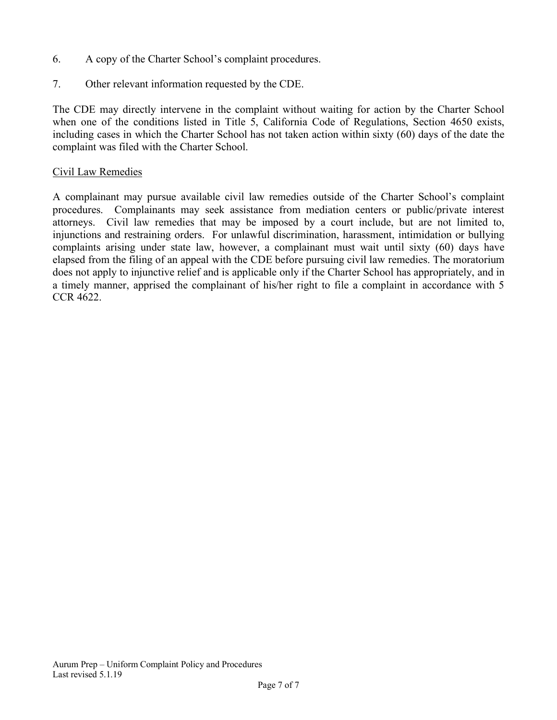- 6. A copy of the Charter School's complaint procedures.
- 7. Other relevant information requested by the CDE.

The CDE may directly intervene in the complaint without waiting for action by the Charter School when one of the conditions listed in Title 5, California Code of Regulations, Section 4650 exists, including cases in which the Charter School has not taken action within sixty (60) days of the date the complaint was filed with the Charter School.

#### Civil Law Remedies

A complainant may pursue available civil law remedies outside of the Charter School's complaint procedures. Complainants may seek assistance from mediation centers or public/private interest attorneys. Civil law remedies that may be imposed by a court include, but are not limited to, injunctions and restraining orders. For unlawful discrimination, harassment, intimidation or bullying complaints arising under state law, however, a complainant must wait until sixty (60) days have elapsed from the filing of an appeal with the CDE before pursuing civil law remedies. The moratorium does not apply to injunctive relief and is applicable only if the Charter School has appropriately, and in a timely manner, apprised the complainant of his/her right to file a complaint in accordance with 5 CCR 4622.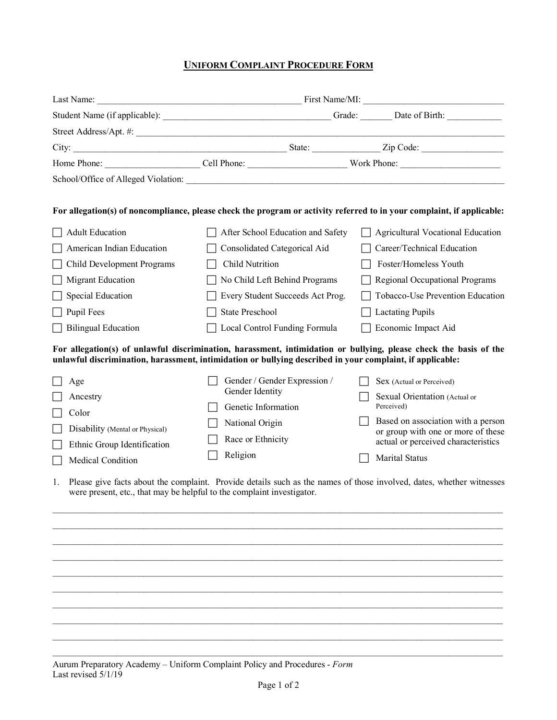# **UNIFORM COMPLAINT PROCEDURE FORM**

|                                                                              |                                                                                                           | For allegation(s) of noncompliance, please check the program or activity referred to in your complaint, if applicable: |  |
|------------------------------------------------------------------------------|-----------------------------------------------------------------------------------------------------------|------------------------------------------------------------------------------------------------------------------------|--|
| <b>Adult Education</b>                                                       | After School Education and Safety                                                                         | <b>Agricultural Vocational Education</b>                                                                               |  |
| American Indian Education                                                    | Consolidated Categorical Aid                                                                              | Career/Technical Education                                                                                             |  |
| Child Development Programs                                                   | <b>Child Nutrition</b>                                                                                    | Foster/Homeless Youth                                                                                                  |  |
| <b>Migrant Education</b>                                                     | No Child Left Behind Programs                                                                             | Regional Occupational Programs                                                                                         |  |
| <b>Special Education</b>                                                     | Every Student Succeeds Act Prog.                                                                          | Tobacco-Use Prevention Education                                                                                       |  |
| Pupil Fees                                                                   | <b>State Preschool</b>                                                                                    | <b>Lactating Pupils</b>                                                                                                |  |
| <b>Bilingual Education</b>                                                   | Local Control Funding Formula                                                                             | Economic Impact Aid                                                                                                    |  |
|                                                                              | unlawful discrimination, harassment, intimidation or bullying described in your complaint, if applicable: | For allegation(s) of unlawful discrimination, harassment, intimidation or bullying, please check the basis of the      |  |
| Age                                                                          | Gender / Gender Expression /                                                                              | Sex (Actual or Perceived)                                                                                              |  |
| Ancestry                                                                     | Gender Identity                                                                                           | Sexual Orientation (Actual or<br>Perceived)                                                                            |  |
| Color                                                                        | Genetic Information                                                                                       | Based on association with a person                                                                                     |  |
| Disability (Mental or Physical)                                              | National Origin                                                                                           | or group with one or more of these                                                                                     |  |
| Ethnic Group Identification                                                  | Race or Ethnicity                                                                                         | actual or perceived characteristics                                                                                    |  |
| Medical Condition                                                            | Religion                                                                                                  | <b>Marital Status</b>                                                                                                  |  |
| 1.<br>were present, etc., that may be helpful to the complaint investigator. |                                                                                                           | Please give facts about the complaint. Provide details such as the names of those involved, dates, whether witnesses   |  |
|                                                                              |                                                                                                           |                                                                                                                        |  |
|                                                                              |                                                                                                           |                                                                                                                        |  |
|                                                                              |                                                                                                           |                                                                                                                        |  |
|                                                                              |                                                                                                           |                                                                                                                        |  |
|                                                                              |                                                                                                           |                                                                                                                        |  |
|                                                                              |                                                                                                           |                                                                                                                        |  |
|                                                                              |                                                                                                           |                                                                                                                        |  |
|                                                                              |                                                                                                           |                                                                                                                        |  |